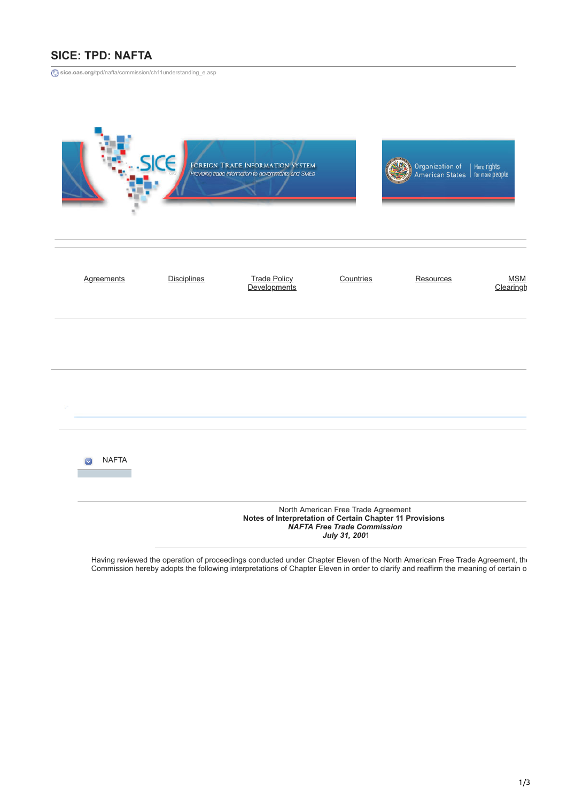## **SICE: TPD: NAFTA**

**sice.oas.org**[/tpd/nafta/commission/ch11understanding\\_e.asp](http://www.sice.oas.org/tpd/nafta/commission/ch11understanding_e.asp)

|                   | SICE                                                                                                                                                   | FOREIGN TRADE INFORMATION SYSTEM<br>Providing trade information to governments and SMEs |           | Organization of<br>American States   for more people | More rights             |  |  |  |
|-------------------|--------------------------------------------------------------------------------------------------------------------------------------------------------|-----------------------------------------------------------------------------------------|-----------|------------------------------------------------------|-------------------------|--|--|--|
| <b>Agreements</b> | <b>Disciplines</b>                                                                                                                                     | <b>Trade Policy</b><br>Developments                                                     | Countries | Resources                                            | <b>MSM</b><br>Clearingh |  |  |  |
|                   |                                                                                                                                                        |                                                                                         |           |                                                      |                         |  |  |  |
|                   |                                                                                                                                                        |                                                                                         |           |                                                      |                         |  |  |  |
| <b>NAFTA</b>      |                                                                                                                                                        |                                                                                         |           |                                                      |                         |  |  |  |
|                   | North American Free Trade Agreement<br>Notes of Interpretation of Certain Chapter 11 Provisions<br><b>NAFTA Free Trade Commission</b><br>July 31, 2001 |                                                                                         |           |                                                      |                         |  |  |  |

Having reviewed the operation of proceedings conducted under Chapter Eleven of the North American Free Trade Agreement, the Commission hereby adopts the following interpretations of Chapter Eleven in order to clarify and reaffirm the meaning of certain o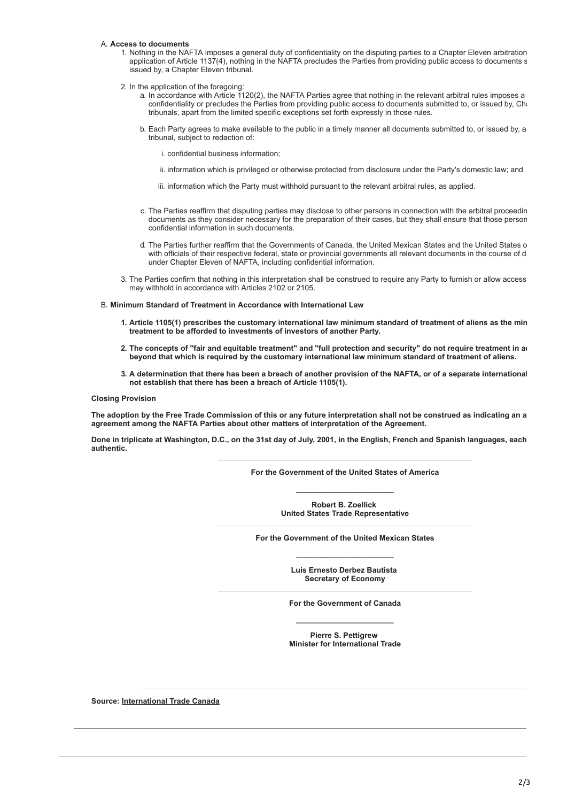## A. **Access to documents**

- 1. Nothing in the NAFTA imposes a general duty of confidentiality on the disputing parties to a Chapter Eleven arbitration application of Article 1137(4), nothing in the NAFTA precludes the Parties from providing public access to documents s issued by, a Chapter Eleven tribunal.
- 2. In the application of the foregoing:
	- a. In accordance with Article 1120(2), the NAFTA Parties agree that nothing in the relevant arbitral rules imposes a confidentiality or precludes the Parties from providing public access to documents submitted to, or issued by, Cha tribunals, apart from the limited specific exceptions set forth expressly in those rules.
	- b. Each Party agrees to make available to the public in a timely manner all documents submitted to, or issued by, a tribunal, subject to redaction of:

i. confidential business information;

- ii. information which is privileged or otherwise protected from disclosure under the Party's domestic law; and
- iii. information which the Party must withhold pursuant to the relevant arbitral rules, as applied.
- c. The Parties reaffirm that disputing parties may disclose to other persons in connection with the arbitral proceedin documents as they consider necessary for the preparation of their cases, but they shall ensure that those person confidential information in such documents.
- d. The Parties further reaffirm that the Governments of Canada, the United Mexican States and the United States o with officials of their respective federal, state or provincial governments all relevant documents in the course of d under Chapter Eleven of NAFTA, including confidential information.
- 3. The Parties confirm that nothing in this interpretation shall be construed to require any Party to furnish or allow access may withhold in accordance with Articles 2102 or 2105.

B. **Minimum Standard of Treatment in Accordance with International Law**

- **1. Article 1105(1) prescribes the customary international law minimum standard of treatment of aliens as the min treatment to be afforded to investments of investors of another Party.**
- 2. The concepts of "fair and equitable treatment" and "full protection and security" do not require treatment in a **beyond that which is required by the customary international law minimum standard of treatment of aliens.**
- **3. A determination that there has been a breach of another provision of the NAFTA, or of a separate international not establish that there has been a breach of Article 1105(1).**

**Closing Provision**

**The adoption by the Free Trade Commission of this or any future interpretation shall not be construed as indicating an a agreement among the NAFTA Parties about other matters of interpretation of the Agreement.**

**Done in triplicate at Washington, D.C., on the 31st day of July, 2001, in the English, French and Spanish languages, each authentic.**

> **For the Government of the United States of America \_\_\_\_\_\_\_\_\_\_\_\_\_\_\_\_\_\_\_\_\_\_\_**

> > **Robert B. Zoellick United States Trade Representative**

**For the Government of the United Mexican States \_\_\_\_\_\_\_\_\_\_\_\_\_\_\_\_\_\_\_\_\_\_\_**

> **Luis Ernesto Derbez Bautista Secretary of Economy**

**For the Government of Canada \_\_\_\_\_\_\_\_\_\_\_\_\_\_\_\_\_\_\_\_\_\_\_**

**Pierre S. Pettigrew Minister for International Trade**

**Source: [International Trade Canada](http://www.dfait-maeci.gc.ca/)**